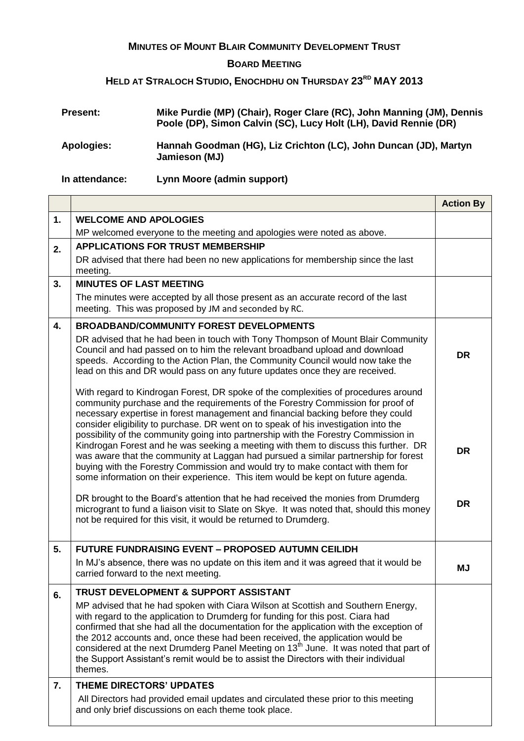## **MINUTES OF MOUNT BLAIR COMMUNITY DEVELOPMENT TRUST**

## **BOARD MEETING**

## **HELD AT STRALOCH STUDIO, ENOCHDHU ON THURSDAY 23RD MAY 2013**

| <b>Present:</b> | Mike Purdie (MP) (Chair), Roger Clare (RC), John Manning (JM), Dennis<br>Poole (DP), Simon Calvin (SC), Lucy Holt (LH), David Rennie (DR) |
|-----------------|-------------------------------------------------------------------------------------------------------------------------------------------|
| Apologies:      | Hannah Goodman (HG), Liz Crichton (LC), John Duncan (JD), Martyn<br>Jamieson (MJ)                                                         |

**In attendance: Lynn Moore (admin support)**

|    |                                                                                                                                                                                                                                                                                                                                                                                                                                                                                                                                                        | <b>Action By</b> |
|----|--------------------------------------------------------------------------------------------------------------------------------------------------------------------------------------------------------------------------------------------------------------------------------------------------------------------------------------------------------------------------------------------------------------------------------------------------------------------------------------------------------------------------------------------------------|------------------|
| 1. | <b>WELCOME AND APOLOGIES</b>                                                                                                                                                                                                                                                                                                                                                                                                                                                                                                                           |                  |
|    | MP welcomed everyone to the meeting and apologies were noted as above.                                                                                                                                                                                                                                                                                                                                                                                                                                                                                 |                  |
| 2. | <b>APPLICATIONS FOR TRUST MEMBERSHIP</b>                                                                                                                                                                                                                                                                                                                                                                                                                                                                                                               |                  |
|    | DR advised that there had been no new applications for membership since the last<br>meeting.                                                                                                                                                                                                                                                                                                                                                                                                                                                           |                  |
| 3. | <b>MINUTES OF LAST MEETING</b>                                                                                                                                                                                                                                                                                                                                                                                                                                                                                                                         |                  |
|    | The minutes were accepted by all those present as an accurate record of the last<br>meeting. This was proposed by JM and seconded by RC.                                                                                                                                                                                                                                                                                                                                                                                                               |                  |
| 4. | <b>BROADBAND/COMMUNITY FOREST DEVELOPMENTS</b>                                                                                                                                                                                                                                                                                                                                                                                                                                                                                                         |                  |
|    | DR advised that he had been in touch with Tony Thompson of Mount Blair Community<br>Council and had passed on to him the relevant broadband upload and download<br>speeds. According to the Action Plan, the Community Council would now take the<br>lead on this and DR would pass on any future updates once they are received.                                                                                                                                                                                                                      | <b>DR</b>        |
|    | With regard to Kindrogan Forest, DR spoke of the complexities of procedures around<br>community purchase and the requirements of the Forestry Commission for proof of<br>necessary expertise in forest management and financial backing before they could<br>consider eligibility to purchase. DR went on to speak of his investigation into the                                                                                                                                                                                                       |                  |
|    | possibility of the community going into partnership with the Forestry Commission in<br>Kindrogan Forest and he was seeking a meeting with them to discuss this further. DR<br>was aware that the community at Laggan had pursued a similar partnership for forest<br>buying with the Forestry Commission and would try to make contact with them for<br>some information on their experience. This item would be kept on future agenda.                                                                                                                | <b>DR</b>        |
|    | DR brought to the Board's attention that he had received the monies from Drumderg<br>microgrant to fund a liaison visit to Slate on Skye. It was noted that, should this money<br>not be required for this visit, it would be returned to Drumderg.                                                                                                                                                                                                                                                                                                    | <b>DR</b>        |
| 5. | <b>FUTURE FUNDRAISING EVENT - PROPOSED AUTUMN CEILIDH</b>                                                                                                                                                                                                                                                                                                                                                                                                                                                                                              |                  |
|    | In MJ's absence, there was no update on this item and it was agreed that it would be<br>carried forward to the next meeting.                                                                                                                                                                                                                                                                                                                                                                                                                           | <b>MJ</b>        |
| ნ. | TRUST DEVELOPMENT & SUPPORT ASSISTANT                                                                                                                                                                                                                                                                                                                                                                                                                                                                                                                  |                  |
|    | MP advised that he had spoken with Ciara Wilson at Scottish and Southern Energy,<br>with regard to the application to Drumderg for funding for this post. Ciara had<br>confirmed that she had all the documentation for the application with the exception of<br>the 2012 accounts and, once these had been received, the application would be<br>considered at the next Drumderg Panel Meeting on 13 <sup>th</sup> June. It was noted that part of<br>the Support Assistant's remit would be to assist the Directors with their individual<br>themes. |                  |
| 7. | <b>THEME DIRECTORS' UPDATES</b>                                                                                                                                                                                                                                                                                                                                                                                                                                                                                                                        |                  |
|    | All Directors had provided email updates and circulated these prior to this meeting<br>and only brief discussions on each theme took place.                                                                                                                                                                                                                                                                                                                                                                                                            |                  |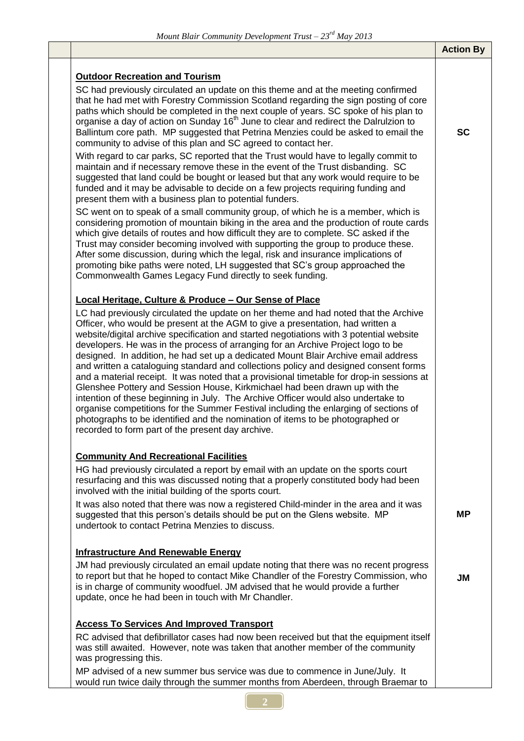| <i>MOUNG DIGHT</i> COMMUNITY Development Trust $-23$ May 2013                                                                                                                                                                                                                                                                                                                                                                                                                                                                                                                                                                                                                                                                                                                                                                                                                                                                                                                                                                                                                                                                                                                                                                                                                                                            |                  |
|--------------------------------------------------------------------------------------------------------------------------------------------------------------------------------------------------------------------------------------------------------------------------------------------------------------------------------------------------------------------------------------------------------------------------------------------------------------------------------------------------------------------------------------------------------------------------------------------------------------------------------------------------------------------------------------------------------------------------------------------------------------------------------------------------------------------------------------------------------------------------------------------------------------------------------------------------------------------------------------------------------------------------------------------------------------------------------------------------------------------------------------------------------------------------------------------------------------------------------------------------------------------------------------------------------------------------|------------------|
|                                                                                                                                                                                                                                                                                                                                                                                                                                                                                                                                                                                                                                                                                                                                                                                                                                                                                                                                                                                                                                                                                                                                                                                                                                                                                                                          | <b>Action By</b> |
| <b>Outdoor Recreation and Tourism</b><br>SC had previously circulated an update on this theme and at the meeting confirmed<br>that he had met with Forestry Commission Scotland regarding the sign posting of core                                                                                                                                                                                                                                                                                                                                                                                                                                                                                                                                                                                                                                                                                                                                                                                                                                                                                                                                                                                                                                                                                                       |                  |
| paths which should be completed in the next couple of years. SC spoke of his plan to<br>organise a day of action on Sunday 16 <sup>th</sup> June to clear and redirect the Dalrulzion to<br>Ballintum core path. MP suggested that Petrina Menzies could be asked to email the<br>community to advise of this plan and SC agreed to contact her.                                                                                                                                                                                                                                                                                                                                                                                                                                                                                                                                                                                                                                                                                                                                                                                                                                                                                                                                                                         | <b>SC</b>        |
| With regard to car parks, SC reported that the Trust would have to legally commit to<br>maintain and if necessary remove these in the event of the Trust disbanding. SC<br>suggested that land could be bought or leased but that any work would require to be<br>funded and it may be advisable to decide on a few projects requiring funding and<br>present them with a business plan to potential funders.                                                                                                                                                                                                                                                                                                                                                                                                                                                                                                                                                                                                                                                                                                                                                                                                                                                                                                            |                  |
| SC went on to speak of a small community group, of which he is a member, which is<br>considering promotion of mountain biking in the area and the production of route cards<br>which give details of routes and how difficult they are to complete. SC asked if the<br>Trust may consider becoming involved with supporting the group to produce these.<br>After some discussion, during which the legal, risk and insurance implications of<br>promoting bike paths were noted, LH suggested that SC's group approached the<br>Commonwealth Games Legacy Fund directly to seek funding.                                                                                                                                                                                                                                                                                                                                                                                                                                                                                                                                                                                                                                                                                                                                 |                  |
| Local Heritage, Culture & Produce - Our Sense of Place                                                                                                                                                                                                                                                                                                                                                                                                                                                                                                                                                                                                                                                                                                                                                                                                                                                                                                                                                                                                                                                                                                                                                                                                                                                                   |                  |
| LC had previously circulated the update on her theme and had noted that the Archive<br>Officer, who would be present at the AGM to give a presentation, had written a<br>website/digital archive specification and started negotiations with 3 potential website<br>developers. He was in the process of arranging for an Archive Project logo to be<br>designed. In addition, he had set up a dedicated Mount Blair Archive email address<br>and written a cataloguing standard and collections policy and designed consent forms<br>and a material receipt. It was noted that a provisional timetable for drop-in sessions at<br>Glenshee Pottery and Session House, Kirkmichael had been drawn up with the<br>intention of these beginning in July. The Archive Officer would also undertake to<br>organise competitions for the Summer Festival including the enlarging of sections of<br>photographs to be identified and the nomination of items to be photographed or<br>recorded to form part of the present day archive.<br><b>Community And Recreational Facilities</b><br>HG had previously circulated a report by email with an update on the sports court<br>resurfacing and this was discussed noting that a properly constituted body had been<br>involved with the initial building of the sports court. |                  |
| It was also noted that there was now a registered Child-minder in the area and it was<br>suggested that this person's details should be put on the Glens website. MP<br>undertook to contact Petrina Menzies to discuss.                                                                                                                                                                                                                                                                                                                                                                                                                                                                                                                                                                                                                                                                                                                                                                                                                                                                                                                                                                                                                                                                                                 | <b>MP</b>        |
| <b>Infrastructure And Renewable Energy</b>                                                                                                                                                                                                                                                                                                                                                                                                                                                                                                                                                                                                                                                                                                                                                                                                                                                                                                                                                                                                                                                                                                                                                                                                                                                                               |                  |
| JM had previously circulated an email update noting that there was no recent progress<br>to report but that he hoped to contact Mike Chandler of the Forestry Commission, who<br>is in charge of community woodfuel. JM advised that he would provide a further<br>update, once he had been in touch with Mr Chandler.                                                                                                                                                                                                                                                                                                                                                                                                                                                                                                                                                                                                                                                                                                                                                                                                                                                                                                                                                                                                   | <b>JM</b>        |
| <b>Access To Services And Improved Transport</b>                                                                                                                                                                                                                                                                                                                                                                                                                                                                                                                                                                                                                                                                                                                                                                                                                                                                                                                                                                                                                                                                                                                                                                                                                                                                         |                  |
| RC advised that defibrillator cases had now been received but that the equipment itself<br>was still awaited. However, note was taken that another member of the community<br>was progressing this.                                                                                                                                                                                                                                                                                                                                                                                                                                                                                                                                                                                                                                                                                                                                                                                                                                                                                                                                                                                                                                                                                                                      |                  |
| MP advised of a new summer bus service was due to commence in June/July. It<br>would run twice daily through the summer months from Aberdeen, through Braemar to                                                                                                                                                                                                                                                                                                                                                                                                                                                                                                                                                                                                                                                                                                                                                                                                                                                                                                                                                                                                                                                                                                                                                         |                  |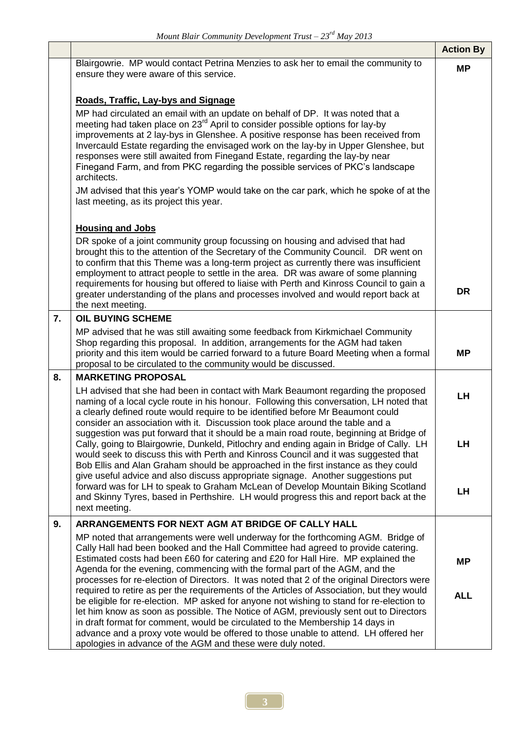|    |                                                                                                                                                                                                                                                                                                                                                                                                                                                                                                                                                           | <b>Action By</b> |
|----|-----------------------------------------------------------------------------------------------------------------------------------------------------------------------------------------------------------------------------------------------------------------------------------------------------------------------------------------------------------------------------------------------------------------------------------------------------------------------------------------------------------------------------------------------------------|------------------|
|    | Blairgowrie. MP would contact Petrina Menzies to ask her to email the community to<br>ensure they were aware of this service.                                                                                                                                                                                                                                                                                                                                                                                                                             | <b>MP</b>        |
|    | Roads, Traffic, Lay-bys and Signage                                                                                                                                                                                                                                                                                                                                                                                                                                                                                                                       |                  |
|    | MP had circulated an email with an update on behalf of DP. It was noted that a<br>meeting had taken place on 23 <sup>rd</sup> April to consider possible options for lay-by<br>improvements at 2 lay-bys in Glenshee. A positive response has been received from<br>Invercauld Estate regarding the envisaged work on the lay-by in Upper Glenshee, but<br>responses were still awaited from Finegand Estate, regarding the lay-by near<br>Finegand Farm, and from PKC regarding the possible services of PKC's landscape<br>architects.                  |                  |
|    | JM advised that this year's YOMP would take on the car park, which he spoke of at the<br>last meeting, as its project this year.                                                                                                                                                                                                                                                                                                                                                                                                                          |                  |
|    | <b>Housing and Jobs</b>                                                                                                                                                                                                                                                                                                                                                                                                                                                                                                                                   |                  |
|    | DR spoke of a joint community group focussing on housing and advised that had<br>brought this to the attention of the Secretary of the Community Council. DR went on<br>to confirm that this Theme was a long-term project as currently there was insufficient<br>employment to attract people to settle in the area. DR was aware of some planning<br>requirements for housing but offered to liaise with Perth and Kinross Council to gain a<br>greater understanding of the plans and processes involved and would report back at<br>the next meeting. | <b>DR</b>        |
| 7. | <b>OIL BUYING SCHEME</b>                                                                                                                                                                                                                                                                                                                                                                                                                                                                                                                                  |                  |
|    | MP advised that he was still awaiting some feedback from Kirkmichael Community<br>Shop regarding this proposal. In addition, arrangements for the AGM had taken<br>priority and this item would be carried forward to a future Board Meeting when a formal<br>proposal to be circulated to the community would be discussed.                                                                                                                                                                                                                              | <b>MP</b>        |
| 8. | <b>MARKETING PROPOSAL</b>                                                                                                                                                                                                                                                                                                                                                                                                                                                                                                                                 |                  |
|    | LH advised that she had been in contact with Mark Beaumont regarding the proposed<br>naming of a local cycle route in his honour. Following this conversation, LH noted that<br>a clearly defined route would require to be identified before Mr Beaumont could<br>consider an association with it. Discussion took place around the table and a                                                                                                                                                                                                          | LH               |
|    | suggestion was put forward that it should be a main road route, beginning at Bridge of<br>Cally, going to Blairgowrie, Dunkeld, Pitlochry and ending again in Bridge of Cally. LH<br>would seek to discuss this with Perth and Kinross Council and it was suggested that<br>Bob Ellis and Alan Graham should be approached in the first instance as they could<br>give useful advice and also discuss appropriate signage. Another suggestions put                                                                                                        | LH               |
|    | forward was for LH to speak to Graham McLean of Develop Mountain Biking Scotland<br>and Skinny Tyres, based in Perthshire. LH would progress this and report back at the<br>next meeting.                                                                                                                                                                                                                                                                                                                                                                 | LH               |
| 9. | ARRANGEMENTS FOR NEXT AGM AT BRIDGE OF CALLY HALL                                                                                                                                                                                                                                                                                                                                                                                                                                                                                                         |                  |
|    | MP noted that arrangements were well underway for the forthcoming AGM. Bridge of<br>Cally Hall had been booked and the Hall Committee had agreed to provide catering.<br>Estimated costs had been £60 for catering and £20 for Hall Hire. MP explained the<br>Agenda for the evening, commencing with the formal part of the AGM, and the<br>processes for re-election of Directors. It was noted that 2 of the original Directors were                                                                                                                   | <b>MP</b>        |
|    | required to retire as per the requirements of the Articles of Association, but they would<br>be eligible for re-election. MP asked for anyone not wishing to stand for re-election to<br>let him know as soon as possible. The Notice of AGM, previously sent out to Directors<br>in draft format for comment, would be circulated to the Membership 14 days in<br>advance and a proxy vote would be offered to those unable to attend. LH offered her<br>apologies in advance of the AGM and these were duly noted.                                      | <b>ALL</b>       |